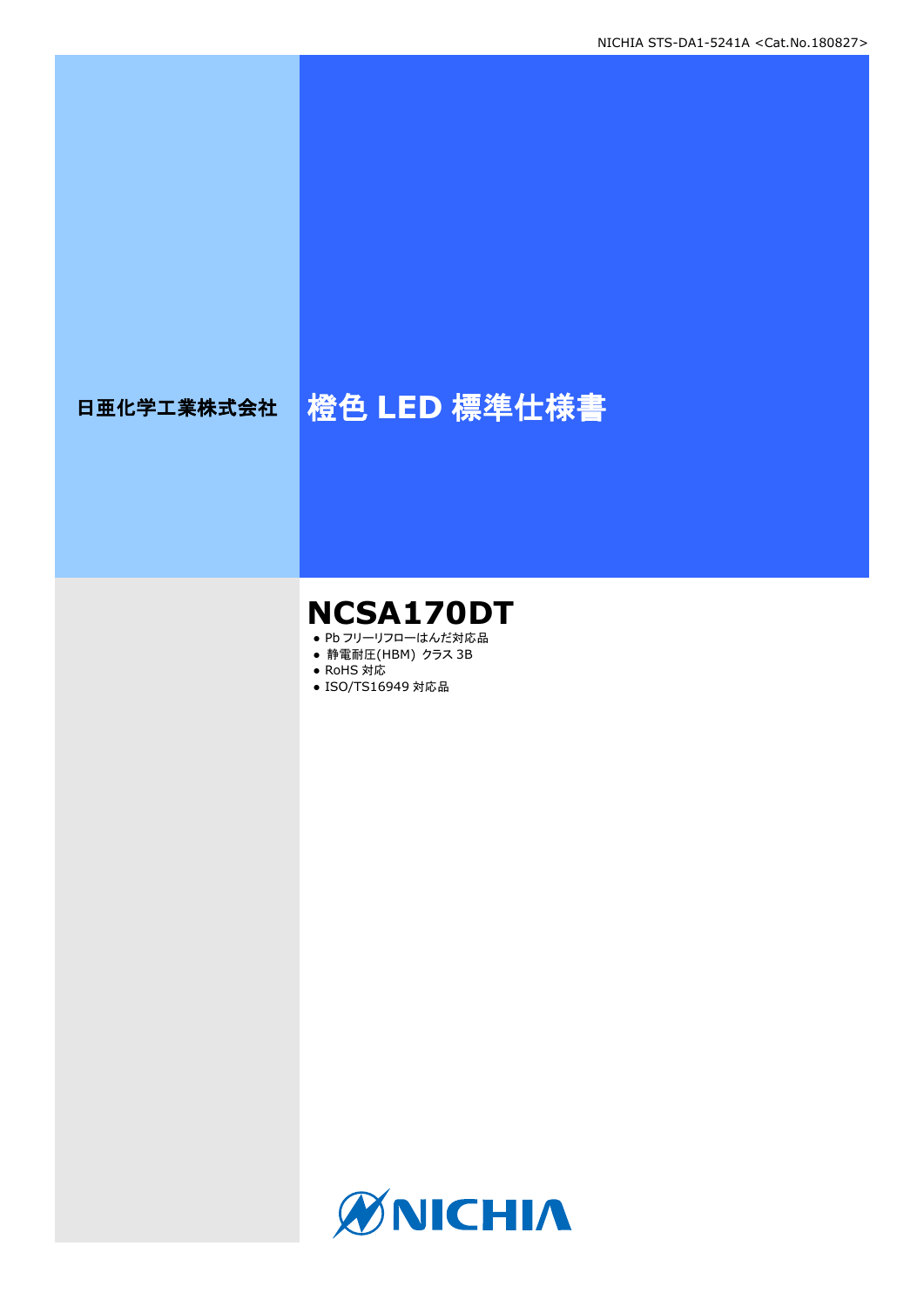# 日亜化学工業株式会社 <mark>橙色 LED 標準仕様書</mark>

# **NCSA170DT**

- Pb フリーリフローはんだ対応品
- **静電耐圧(HBM) クラス 3B** ● RoHS 対応
- 
- ISO/TS16949 対応品

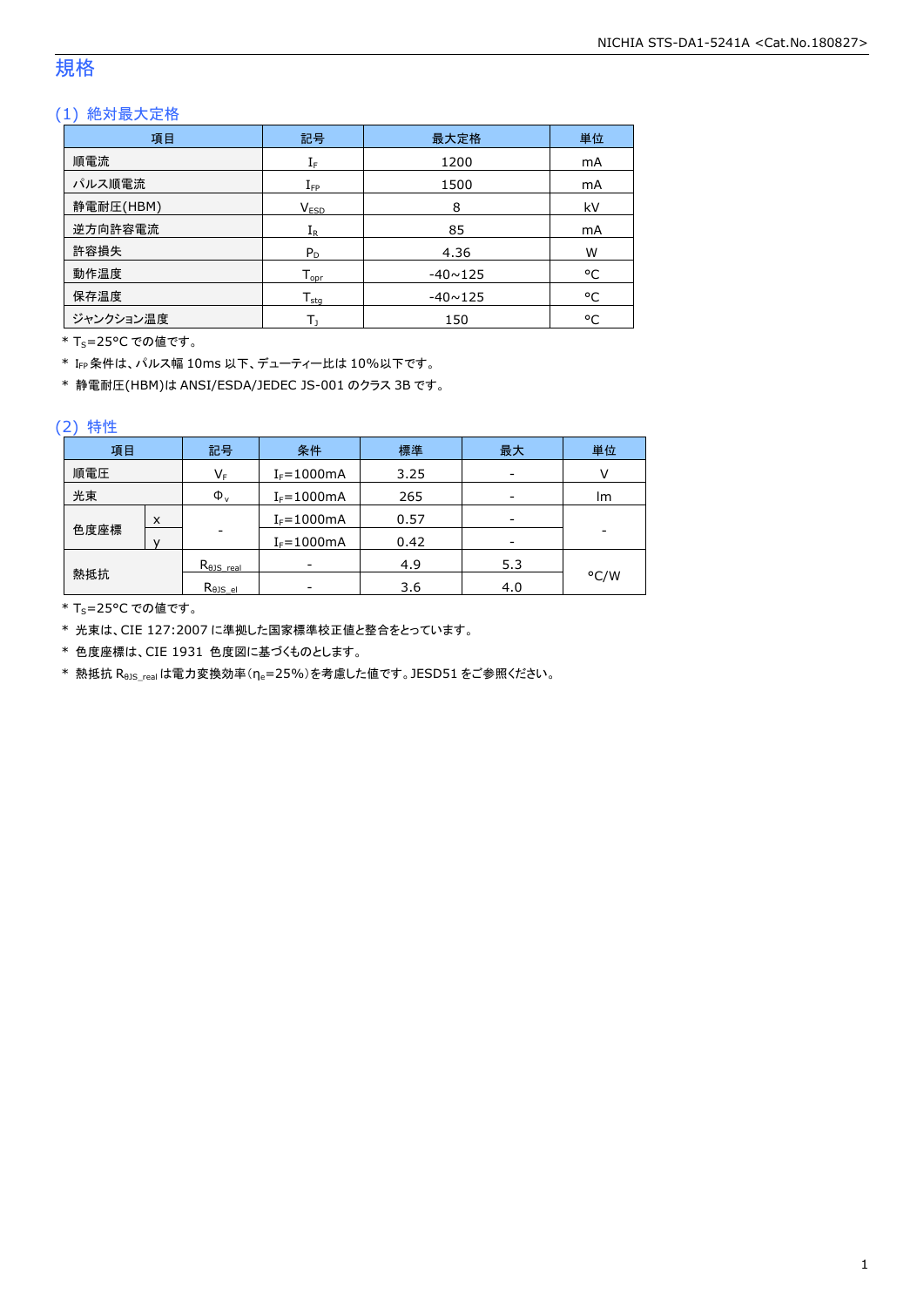### 規格

### (1) 絶対最大定格

| 項目        | 記号                           | 最大定格           | 単位 |
|-----------|------------------------------|----------------|----|
| 順電流       | ${\rm I}_{{\rm F}}$          | 1200           | mA |
| パルス順電流    | $I_{\mathsf{FP}}$            | 1500           | mA |
| 静電耐圧(HBM) | V <sub>ESD</sub>             | 8              | kV |
| 逆方向許容電流   | $\rm I_R$                    | 85             | mA |
| 許容損失      | $P_D$                        | 4.36           | W  |
| 動作温度      | ${\mathsf T}_{\textsf{opr}}$ | $-40 \sim 125$ | °C |
| 保存温度      | $T_{\text{stq}}$             | $-40 \sim 125$ | °C |
| ジャンクション温度 |                              | 150            | °C |

\* T<sub>S</sub>=25°C での値です。

\* IFP条件は、パルス幅 10ms 以下、デューティー比は 10%以下です。

\* 静電耐圧(HBM)は ANSI/ESDA/JEDEC JS-001 のクラス 3B です。

### (2) 特性

| 項目   |   | 記号                      | 条件              | 標準   | 最大  | 単位   |
|------|---|-------------------------|-----------------|------|-----|------|
| 順電圧  |   | $\mathsf{V}_\mathsf{F}$ | $I_F = 1000$ mA | 3.25 | -   |      |
| 光束   |   | $\Phi_{\rm v}$          | $I_F = 1000mA$  | 265  | -   | lm.  |
|      | x |                         | $I_F = 1000mA$  | 0.57 |     |      |
| 色度座標 |   | -                       | $I_F = 1000$ mA | 0.42 | -   |      |
|      |   | $R_{\theta}$ JS real    |                 | 4.9  | 5.3 |      |
| 熱抵抗  |   | $R_{\theta}$ JS_el      |                 | 3.6  | 4.0 | °C/W |

\* T<sub>S</sub>=25°C での値です。

\* 光束は、CIE 127:2007 に準拠した国家標準校正値と整合をとっています。

\* 色度座標は、CIE 1931 色度図に基づくものとします。

\* 熱抵抗 Rejs\_real は電力変換効率(ne=25%)を考慮した値です。JESD51 をご参照ください。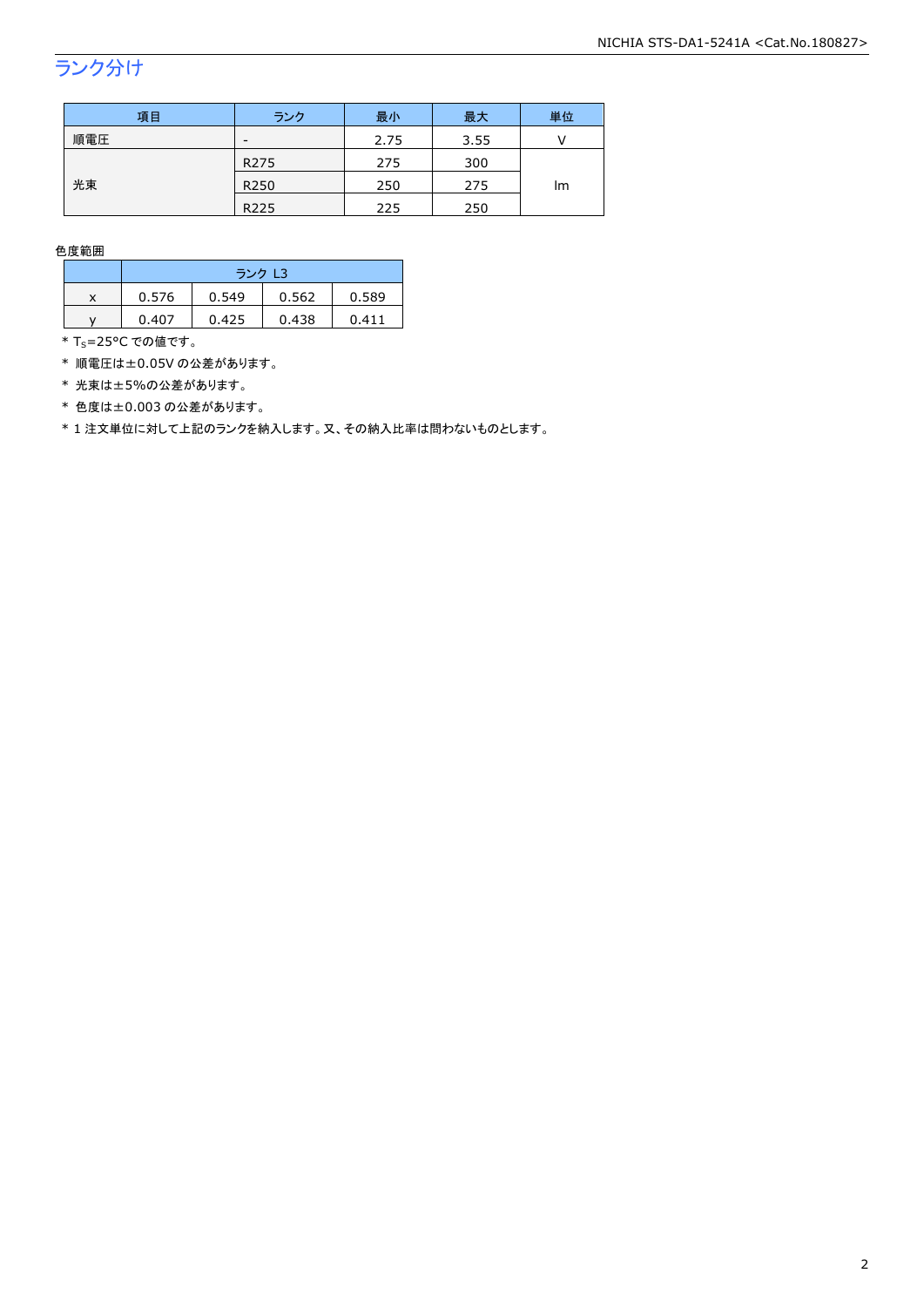## ランク分け

| 項目  | ランク                      | 最小   | 最大   | 単位 |  |
|-----|--------------------------|------|------|----|--|
| 順電圧 | $\overline{\phantom{a}}$ | 2.75 | 3.55 |    |  |
|     | R <sub>275</sub>         | 275  | 300  |    |  |
| 光束  | R <sub>250</sub>         | 250  | 275  | Im |  |
|     | R <sub>225</sub>         | 225  | 250  |    |  |

色度範囲

|   | ランク L3 |       |       |       |  |
|---|--------|-------|-------|-------|--|
| x | 0.576  | 0.549 | 0.562 | 0.589 |  |
|   | 0.407  | 0.425 | 0.438 | 0.411 |  |

 $*$  T<sub>S</sub>=25°C での値です。

\* 順電圧は±0.05V の公差があります。

\* 光束は±5%の公差があります。

\* 色度は±0.003 の公差があります。

\* 1 注文単位に対して上記のランクを納入します。又、その納入比率は問わないものとします。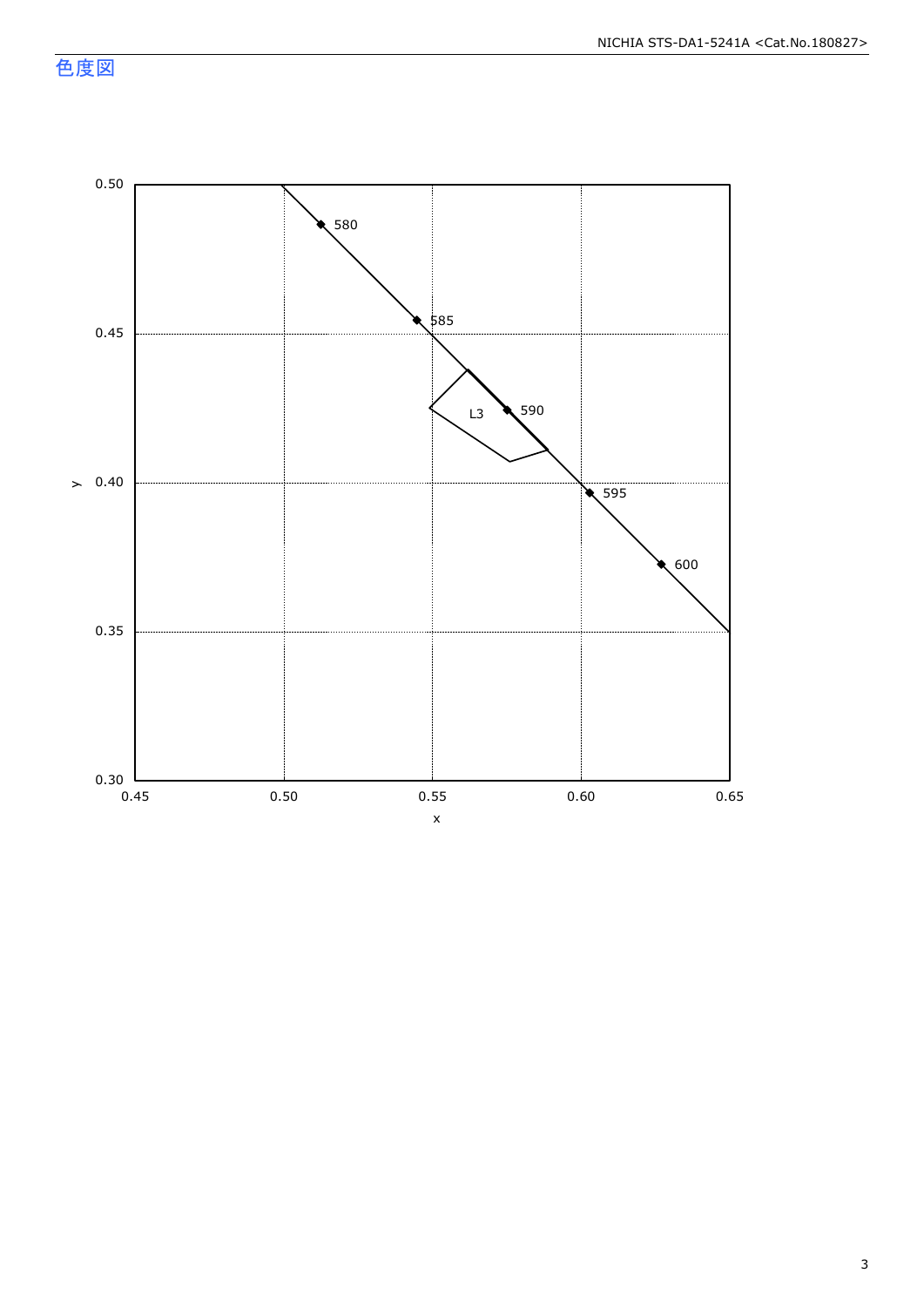色度図

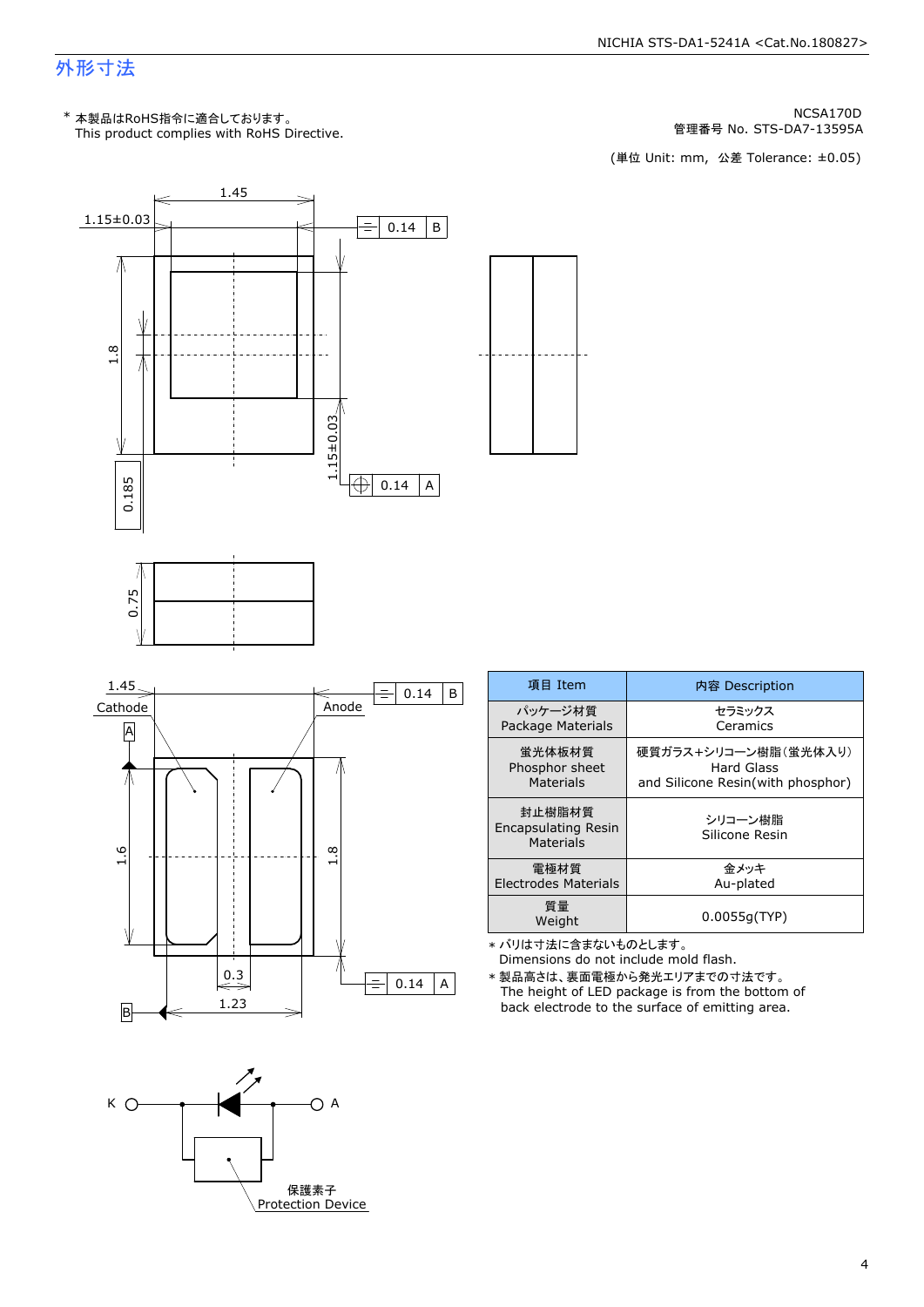### 外形寸法

KCSA170D MCSA170D MESA170D MESA170D<br>管理番号 No. STS-DA7-13595A ها التي تقويم التي تقويم التي تقويم التي تقويم التي تقويم التي تقويم التي تقويم التي ت<br>(単位 Unit: mm, 公差 Tolerance: ±0.05)

管理番号 No.



| 項目 Item                                    | 内容 Description                                                                 |  |  |  |
|--------------------------------------------|--------------------------------------------------------------------------------|--|--|--|
| パッケージ材質<br>Package Materials               | セラミックス<br>Ceramics                                                             |  |  |  |
| 蛍光体板材質<br>Phosphor sheet<br>Materials      | 硬質ガラス+シリコーン樹脂(蛍光体入り)<br><b>Hard Glass</b><br>and Silicone Resin(with phosphor) |  |  |  |
| 封止樹脂材質<br>Encapsulating Resin<br>Materials | シリコーン樹脂<br>Silicone Resin                                                      |  |  |  |
| 雷極材質<br><b>Electrodes Materials</b>        | 金メッキ<br>Au-plated                                                              |  |  |  |
| 質量<br>Weight                               | 0.0055q(TYP)                                                                   |  |  |  |
|                                            |                                                                                |  |  |  |

\* バリは寸法に含まないものとします。<br>- Dimensions do not include mold flash.

The height of LED package is from the bottom of \* 製品高さは、裏面電極から発光エリアまでの寸法です。<br>The height of LED package is from the bottom<br>back electrode to the surface of emitting area.

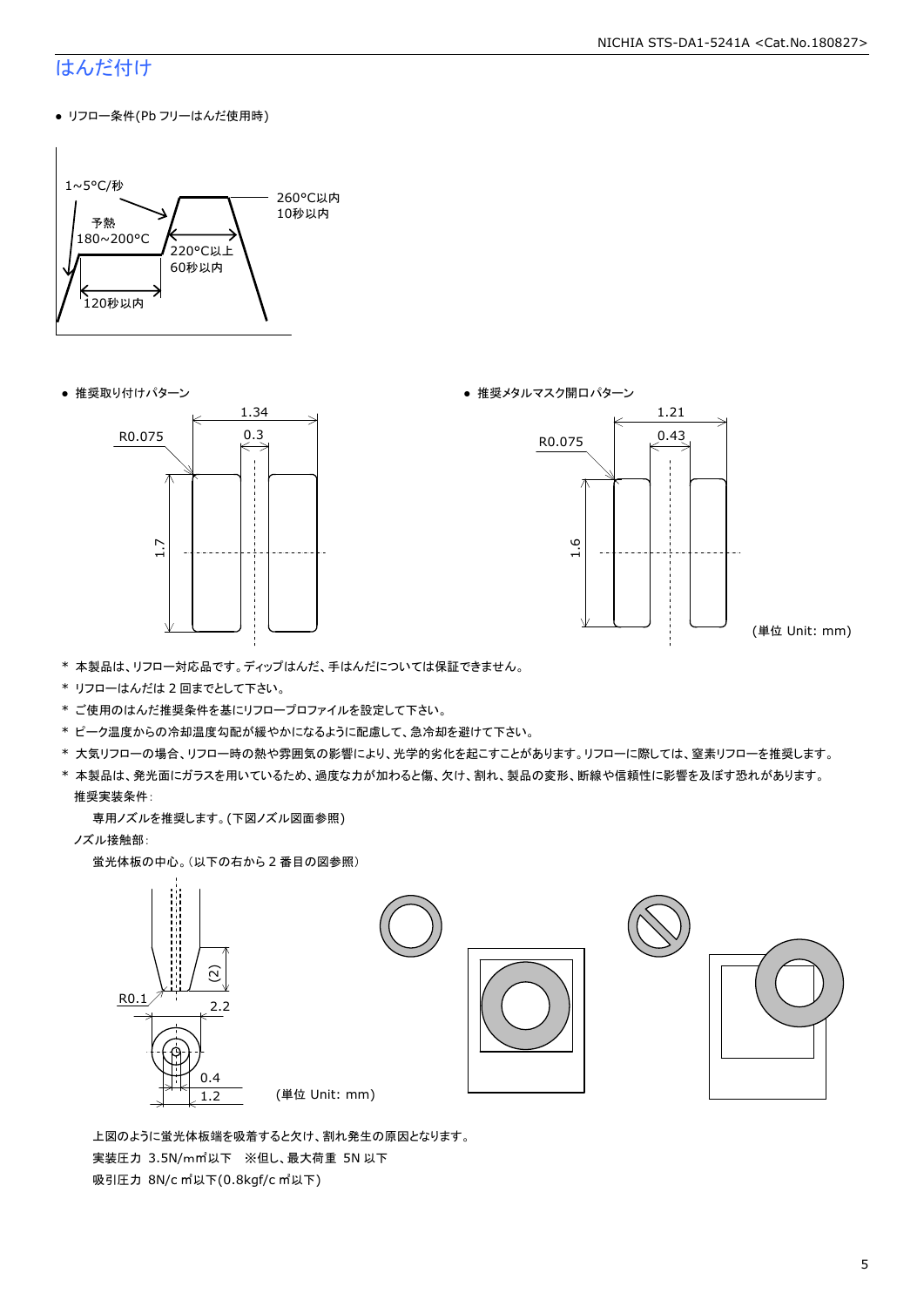### はんだ付け

● リフロー条件(Pb フリーはんだ使用時)







(単位 Unit: mm)

- \* 本製品は、リフロー対応品です。ディップはんだ、手はんだについては保証できません。
- \* リフローはんだは 2 回までとして下さい。
- \* ご使用のはんだ推奨条件を基にリフロープロファイルを設定して下さい。
- \* ピーク温度からの冷却温度勾配が緩やかになるように配慮して、急冷却を避けて下さい。
- \* 大気リフローの場合、リフロー時の熱や雰囲気の影響により、光学的劣化を起こすことがあります。リフローに際しては、窒素リフローを推奨します。
- \* 本製品は、発光面にガラスを用いているため、過度な力が加わると傷、欠け、割れ、製品の変形、断線や信頼性に影響を及ぼす恐れがあります。 推奨実装条件:

専用ノズルを推奨します。(下図ノズル図面参照)

ノズル接触部:

蛍光体板の中心。(以下の右から 2 番目の図参照)



 上図のように蛍光体板端を吸着すると欠け、割れ発生の原因となります。 実装圧力 3.5N/m㎡以下 ※但し、最大荷重 5N 以下 吸引圧力 8N/c ㎡以下(0.8kgf/c ㎡以下)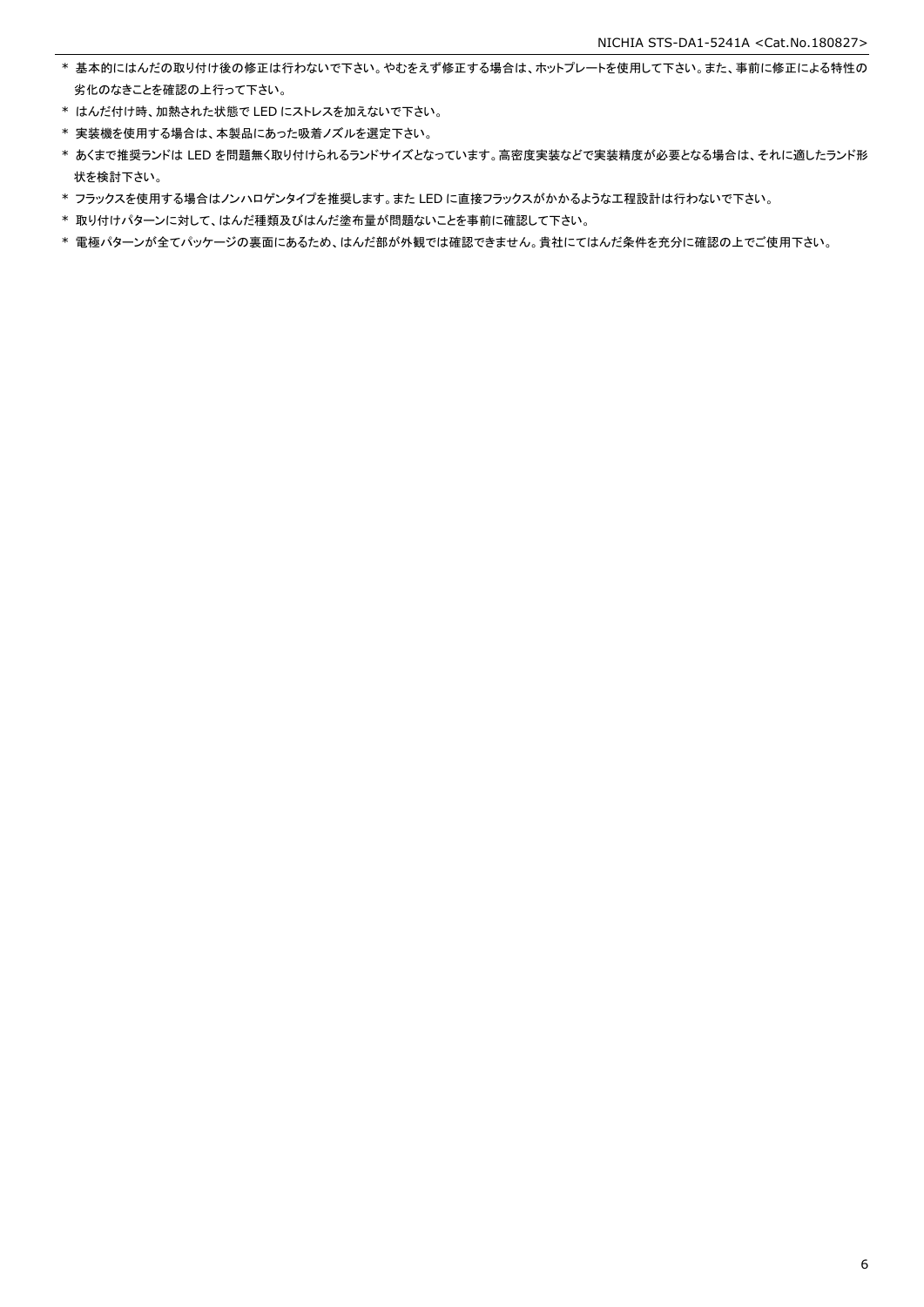- \* 基本的にはんだの取り付け後の修正は行わないで下さい。やむをえず修正する場合は、ホットプレートを使用して下さい。また、事前に修正による特性の 劣化のなきことを確認の上行って下さい。
- \* はんだ付け時、加熱された状態で LED にストレスを加えないで下さい。
- \* 実装機を使用する場合は、本製品にあった吸着ノズルを選定下さい。
- \* あくまで推奨ランドは LED を問題無く取り付けられるランドサイズとなっています。高密度実装などで実装精度が必要となる場合は、それに適したランド形 状を検討下さい。
- \* フラックスを使用する場合はノンハロゲンタイプを推奨します。また LED に直接フラックスがかかるような工程設計は行わないで下さい。
- \* 取り付けパターンに対して、はんだ種類及びはんだ塗布量が問題ないことを事前に確認して下さい。
- \* 電極パターンが全てパッケージの裏面にあるため、はんだ部が外観では確認できません。貴社にてはんだ条件を充分に確認の上でご使用下さい。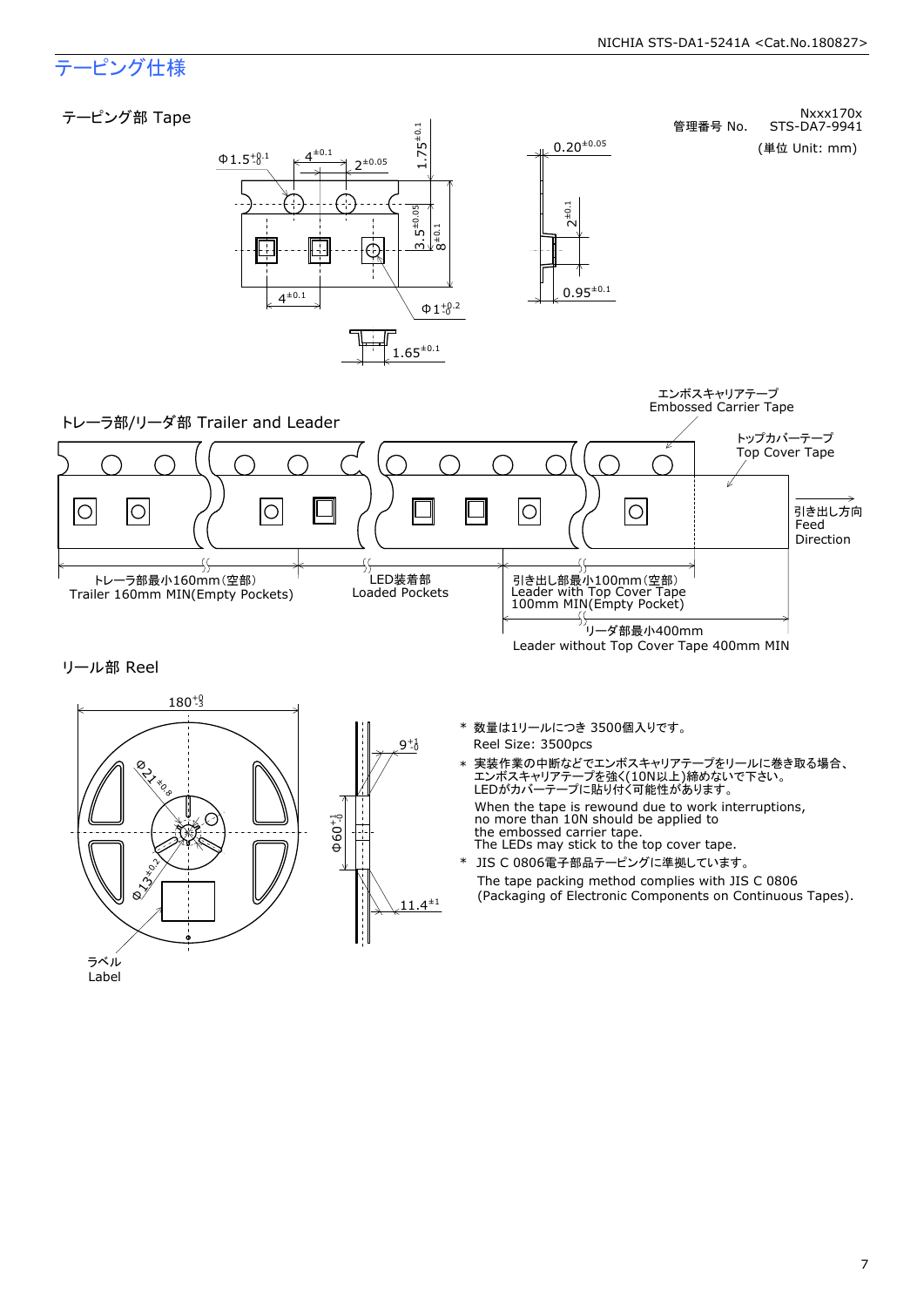### テーピング仕様

#### Nxxx170x (単位 Unit: mm) <sup>Φ</sup>1.5 -0 +0.1 テーピング部 Tape  $1.75^{\pm0.1}$ 管理番号 No. STS-DA7-9941  $0.20^{+0.05}$  $\longrightarrow^{\text{\textsterling}^{\pm 0.1}}$  2±0.05  $3.5^{+0.05}$ <br> $8^{+0.1}$ 2±0.1 Ė  $0.95^{\pm0.1}$  $4^{\pm 0.1}$  $Φ 1<sup>+0.2</sup>$  $.65^{+0.1}$ エンボスキャリアテープ Embossed Carrier Tape トレーラ部/リーダ部 Trailer and Leader トップカバーテープ Top Cover Tape  $\circlearrowright$ Ó  $\circlearrowright$  $\bigcirc$ 10 引き出し方向 Feed Direction ٦S ٩f -55 LED装着部<br>Loaded Pockets リーダ部最小400mm トレーラ部最小160mm(空部) Trailer 160mm MIN(Empty Pockets) Loaded Pockets Leader without Top Cover Tape 400mm MIN 引き出し部最小100mm(空部) Leader with Top Cover Tape 100mm MIN(Empty Pocket) リール部 Reel $\begin{picture}(180,180)(-180,180) \put(10,180){\line(1,0){180}} \put(10,180){\line(1,0){180}} \put(10,180){\line(1,0){180}} \put(10,180){\line(1,0){180}} \put(10,180){\line(1,0){180}} \put(10,180){\line(1,0){180}} \put(10,180){\line(1,0){180}} \put(10,180){\line(1,0){180}} \put(10,180){\line(1,0){18$  $180+9$ Φ13±0.2 180+0 \* 数量は1リールにつき 3500個入りです。 Reel Size: 3500pcs 実装作業の中断などでエンボスキャリアテープをリールに巻き取る場合、<br>エンボスキャリアテープを強く(10N以上)締めないで下さい。<br>LEDがカバーテープに貼り付く可能性があります。 **BAY**  $\chi^2$ When the tape is rewound due to work interruptions, no more than 10N should be applied to  $\Phi$ 60 $^{+1}_{-0}$ the embossed carrier tape.<br>The LEDs may stick to the top cover tape. .<br>. ∴−1. f\* JIS C 0806電子部品テーピングに準拠しています。<br>The tape packing method complies with JIS C 0806<br>(Packaging of Electronic Components on Continuous Tapes). The tape packing method complies with JIS C 0806  $11.4^{\pm1}$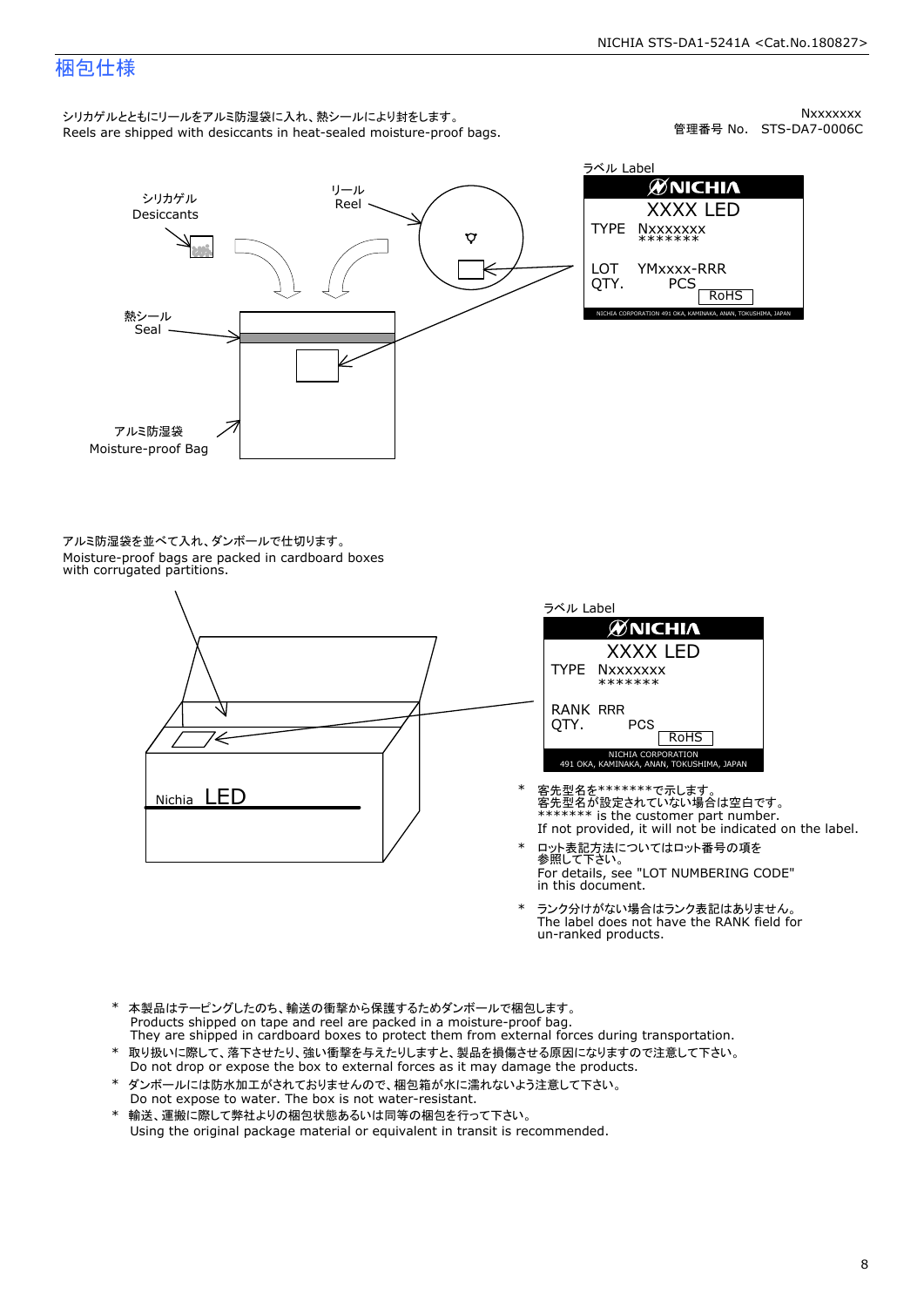### 梱包仕様

シリカゲルとともにリールをアルミ防湿袋に入れ、熱シールにより封をします。<br>Reels are shipped with desiccants in heat-sealed moisture-proof bags.

Nxxxxxxx<br>管理番号 No. STS-DA7-0006C



ラベル Label ØNICHIA XXXX LED<br>|xxxxxxx<br>\*\*\*\*\*\*\*<br>'Mxxxx-RRR<br>PCS & Rohs TYPE NXXXXXXX<br>
LOT YMXXXX-R<br>
QTY. PCS YMxxxx-RRR

アルミ防湿袋を並べて入れ、ダンボールで仕切ります。<br>Moisture-proof bags are packed in cardboard boxes<br>with corrugated partitions.





- 客先型名を\*\*\*\*\*\*\*で示します。<br>客先型名が設定されていない場合は空白です。<br>\*\*\*\*\*\*\* is the customer part number.<br>If not provided, it will not be indicated on the label.
- ロット表記方法についてはロット番号の項を<br>参照して下さい。 \* ロット表記方法についてはロット番号の項を<br>参照して下さい。<br>For details, see "LOT NUMBERING CODE"<br>in this document.
- The label does not have the RANK field for \* ランク分けがない場合はランク表記はありません。<br>The label does not have the RANK field fi<br>un-ranked products.
- 
- \* 本製品はテーピングしたのち、輸送の衝撃から保護するためダンボールで梱包します。<br>Products shipped on tape and reel are packed in a moisture-proof bag.<br>They are shipped in cardboard boxes to protect them from external forces during transportation.<br>\* 取り扱いに際して、落
- \* ダンボールには防水加工がされておりませんので、梱包箱が水に濡れないよう注意して下さい。 \* 取り扱いに際して、落下させたり、強い衝撃を与えたりしますと、製品を損傷させる原因になりますので注意して下さい。<br>Do not drop or expose the box to external forces as it may damage the products.<br>\* ダンボールには防水加工がされておりませんので、梱包箱が水に濡れないよう注意して下さい。<br>Do not expose to water. The box is n
-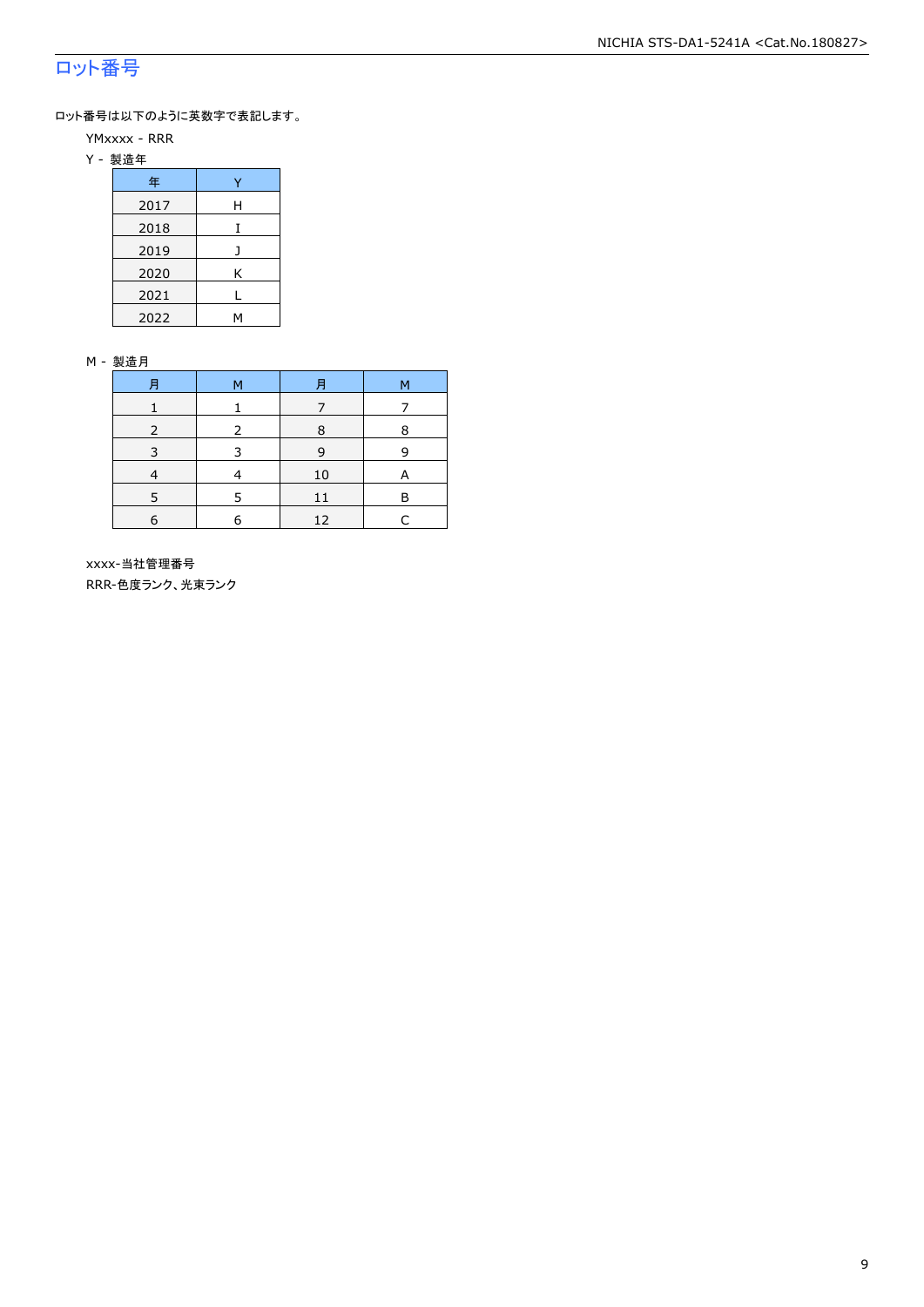### ロット番号

ロット番号は以下のように英数字で表記します。

- YMxxxx RRR
- Y 製造年

| 年    |   |  |  |  |
|------|---|--|--|--|
| 2017 | Н |  |  |  |
| 2018 |   |  |  |  |
| 2019 |   |  |  |  |
| 2020 | Κ |  |  |  |
| 2021 |   |  |  |  |
| 2022 |   |  |  |  |

#### M - 製造月

|   | м |    | M |
|---|---|----|---|
|   |   |    |   |
| 2 | 2 | 8  | 8 |
| 3 | 3 | 9  | 9 |
|   |   | 10 | A |
|   | 5 | 11 | В |
| 6 | 6 | 12 |   |

 xxxx-当社管理番号 RRR-色度ランク、光束ランク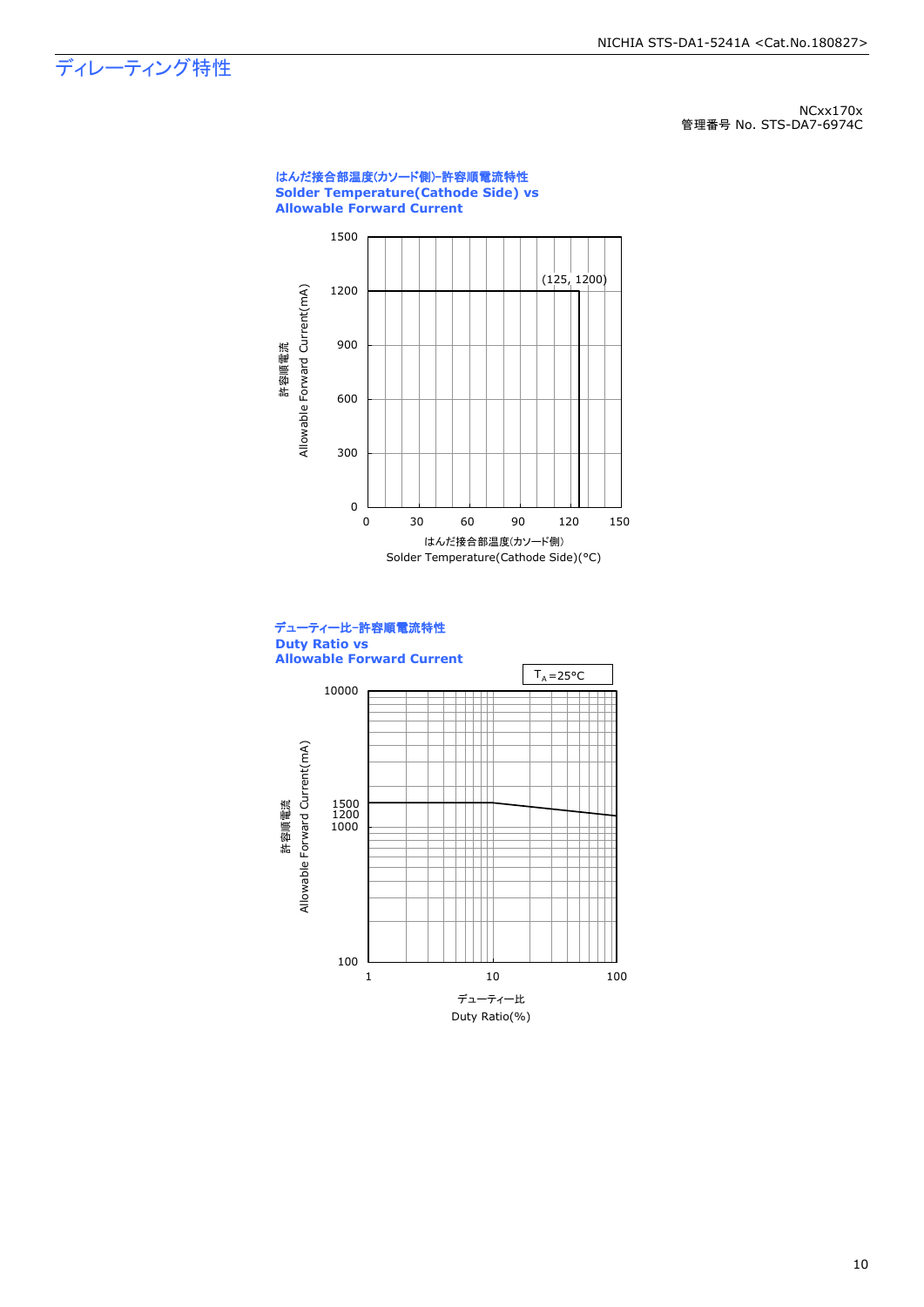## ディレーティング特性

NCxx170x 管理番号 No. STS-DA7-6974C





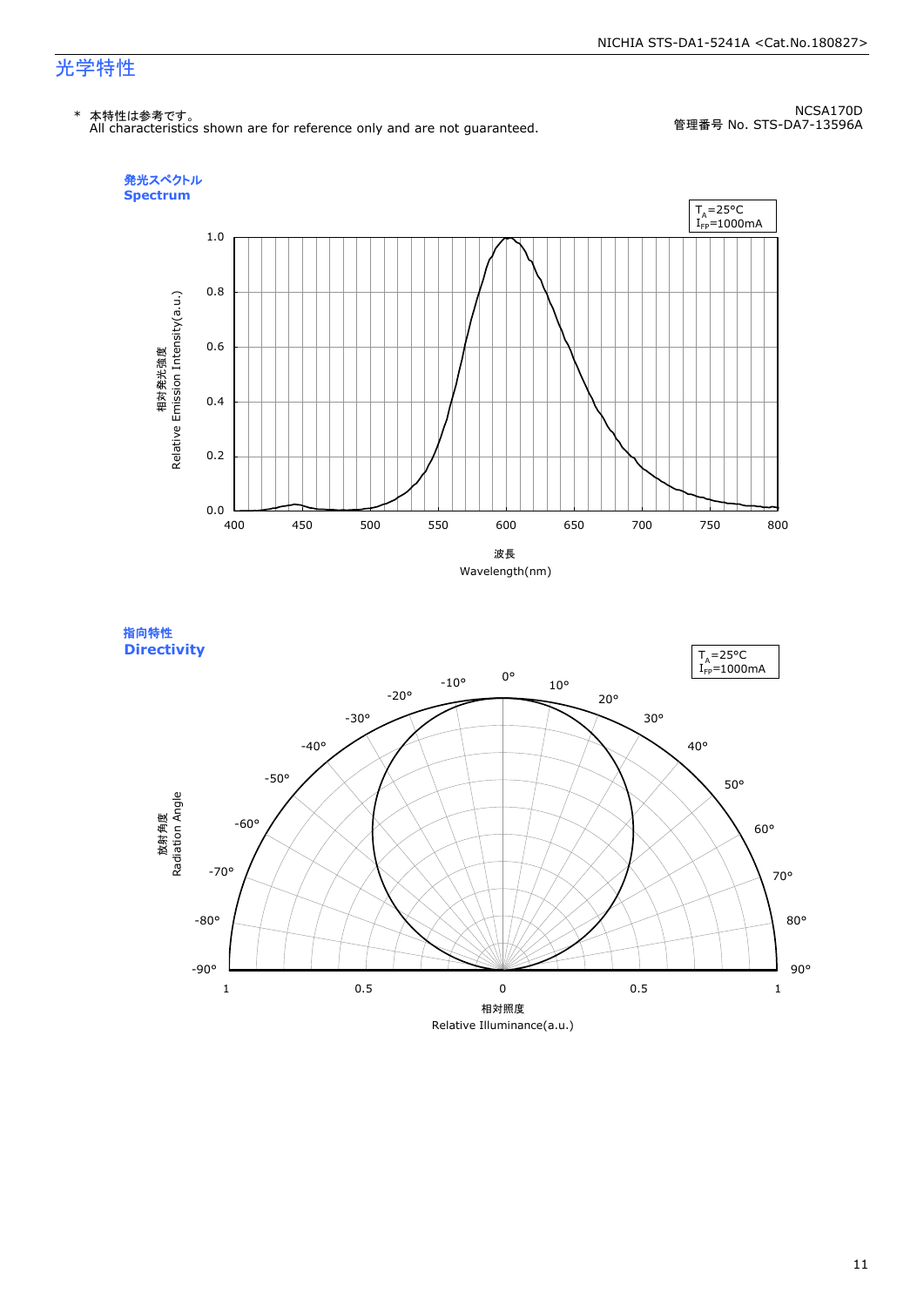#### NICHIA STS-DA1-5241A <Cat.No.180827>

### 光学特性

\* 本特性は参考です。 All characteristics shown are for reference only and are not guaranteed.

NCSA170D 管理番号 No. STS-DA7-13596A



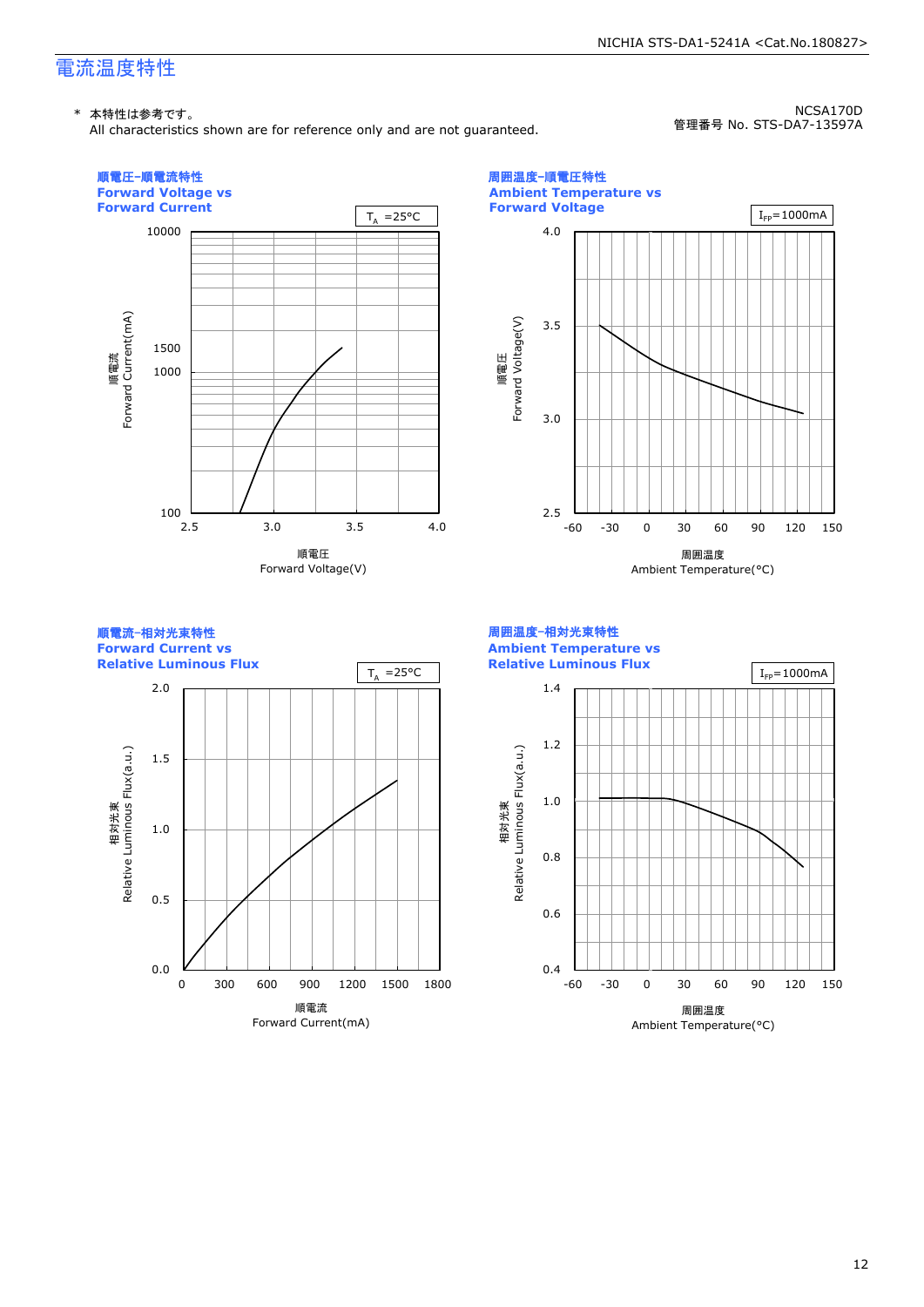### 電流温度特性

#### \* 本特性は参考です。

All characteristics shown are for reference only and are not guaranteed.

NCSA170D 管理番号 No. STS-DA7-13597A

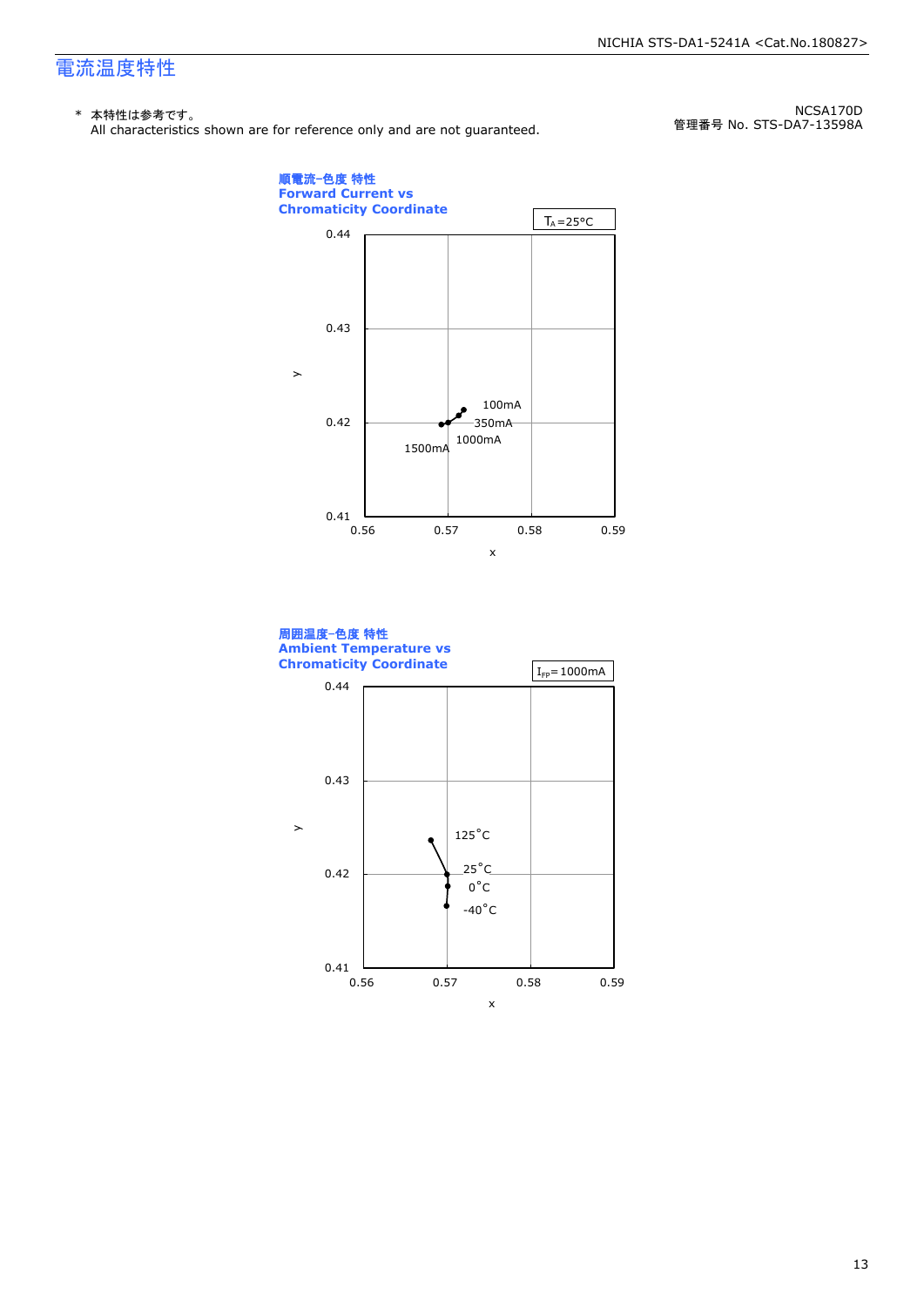### 電流温度特性

#### \* 本特性は参考です。

All characteristics shown are for reference only and are not guaranteed.

NCSA170D 管理番号 No. STS-DA7-13598A



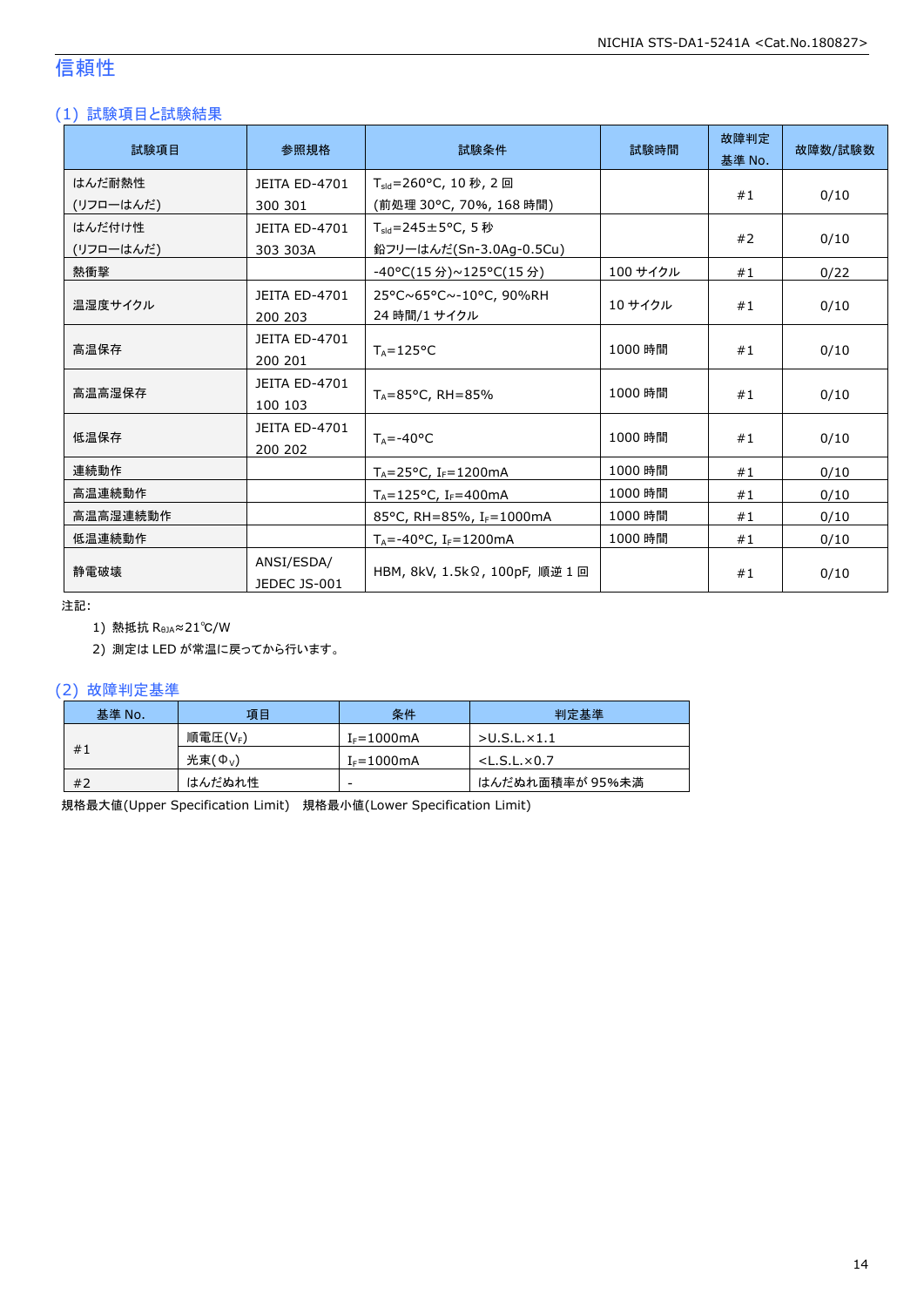### 信頼性

### (1) 試験項目と試験結果

| 試験項目      | 参照規格                            | 試験条件                                   | 試験時間     | 故障判定<br>基準 No. | 故障数/試験数 |
|-----------|---------------------------------|----------------------------------------|----------|----------------|---------|
| はんだ耐熱性    | <b>JEITA ED-4701</b>            | $T_{\text{std}} = 260$ °C, 10 秒, 2 回   |          |                |         |
| (リフローはんだ) | 300 301                         | (前処理 30℃, 70%, 168 時間)                 |          | #1             | 0/10    |
| はんだ付け性    | <b>JEITA ED-4701</b>            | T <sub>sld</sub> =245±5°C, 5秒          |          |                |         |
| (リフローはんだ) | 303 303A                        | 鉛フリーはんだ(Sn-3.0Ag-0.5Cu)                |          | #2             | 0/10    |
| 熱衝撃       |                                 | -40°C(15 分)~125°C(15 分)                | 100 サイクル | #1             | 0/22    |
| 温湿度サイクル   | <b>JEITA ED-4701</b><br>200 203 | 25°C~65°C~-10°C, 90%RH<br>24 時間/1 サイクル | 10 サイクル  | #1             | 0/10    |
| 高温保存      | <b>JEITA ED-4701</b><br>200 201 | $T_{\text{A}} = 125^{\circ}C$          | 1000 時間  | #1             | 0/10    |
| 高温高湿保存    | <b>JEITA ED-4701</b><br>100 103 | $T_A = 85^{\circ}$ C, RH = 85%         | 1000 時間  | #1             | 0/10    |
| 低温保存      | <b>JEITA ED-4701</b><br>200 202 | $T_{\text{A}} = -40^{\circ}C$          | 1000 時間  | #1             | 0/10    |
| 連続動作      |                                 | $T_A = 25$ °C, I <sub>F</sub> =1200mA  | 1000 時間  | #1             | 0/10    |
| 高温連続動作    |                                 | $T_A = 125$ °C, I <sub>F</sub> =400mA  | 1000 時間  | #1             | 0/10    |
| 高温高湿連続動作  |                                 | 85°C, RH=85%, I <sub>F</sub> =1000mA   | 1000 時間  | #1             | 0/10    |
| 低温連続動作    |                                 | $T_A = -40$ °C, I <sub>F</sub> =1200mA | 1000 時間  | #1             | 0/10    |
| 静雷破壊      | ANSI/ESDA/<br>JEDEC JS-001      | HBM, 8kV, 1.5kΩ, 100pF, 順逆 1回          |          | #1             | 0/10    |

注記:

1) 熱抵抗 R<sub>θJA</sub>≈21℃/W

2) 測定は LED が常温に戻ってから行います。

#### (2) 故障判定基準

| 基準 No. | 項目               | 条件              | 判定基準                    |
|--------|------------------|-----------------|-------------------------|
|        | 順電圧(VF)          | $I_F = 1000$ mA | >U.S.L.x1.1             |
| #1     | 光束( $\Phi_{V}$ ) | $I_F = 1000$ mA | $<$ L.S.L. $\times$ 0.7 |
| #2     | はんだぬれ性           | -               | はんだぬれ面積率が 95%未満         |

規格最大値(Upper Specification Limit) 規格最小値(Lower Specification Limit)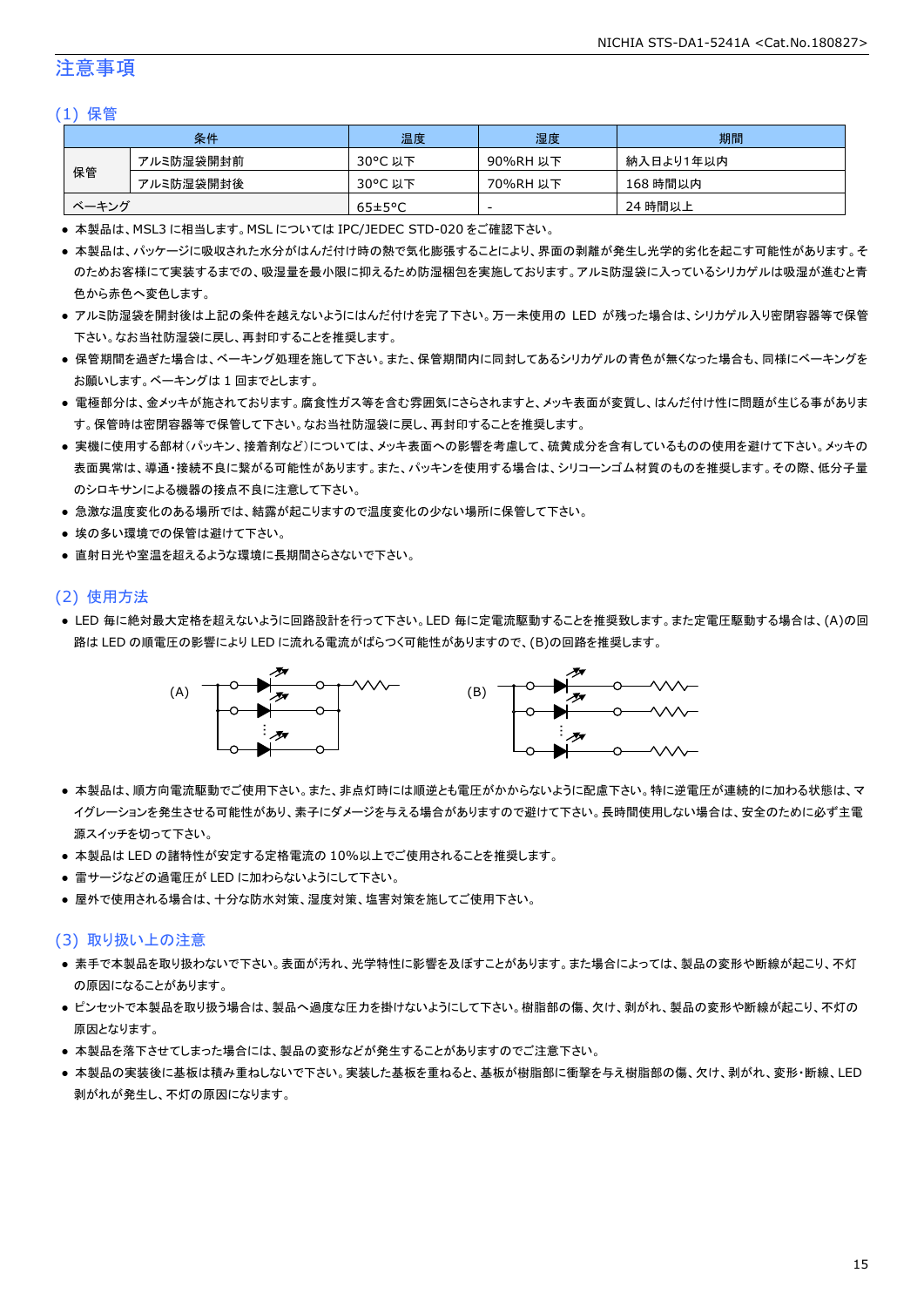### 注意事項

#### (1) 保管

|       | 条件        | 温度                   | 湿度       | 期間        |
|-------|-----------|----------------------|----------|-----------|
|       | アルミ防湿袋開封前 | 30°C 以下              | 90%RH 以下 | 納入日より1年以内 |
| 保管    | アルミ防湿袋開封後 | 30°C 以下              | 70%RH 以下 | 168 時間以内  |
| ベーキング |           | $65 \pm 5^{\circ}$ C | -        | 24 時間以上   |

● 本製品は、MSL3 に相当します。MSL については IPC/JEDEC STD-020 をご確認下さい。

- 本製品は、パッケージに吸収された水分がはんだ付け時の熱で気化膨張することにより、界面の剥離が発生し光学的劣化を起こす可能性があります。そ のためお客様にて実装するまでの、吸湿量を最小限に抑えるため防湿梱包を実施しております。アルミ防湿袋に入っているシリカゲルは吸湿が進むと青 色から赤色へ変色します。
- アルミ防湿袋を開封後は上記の条件を越えないようにはんだ付けを完了下さい。万一未使用の LED が残った場合は、シリカゲル入り密閉容器等で保管 下さい。なお当社防湿袋に戻し、再封印することを推奨します。
- 保管期間を過ぎた場合は、ベーキング処理を施して下さい。また、保管期間内に同封してあるシリカゲルの青色が無くなった場合も、同様にベーキングを お願いします。ベーキングは 1 回までとします。
- 電極部分は、金メッキが施されております。腐食性ガス等を含む雰囲気にさらされますと、メッキ表面が変質し、はんだ付け性に問題が生じる事がありま す。保管時は密閉容器等で保管して下さい。なお当社防湿袋に戻し、再封印することを推奨します。
- 実機に使用する部材(パッキン、接着剤など)については、メッキ表面への影響を考慮して、硫黄成分を含有しているものの使用を避けて下さい。メッキの 表面異常は、導通・接続不良に繋がる可能性があります。また、パッキンを使用する場合は、シリコーンゴム材質のものを推奨します。その際、低分子量 のシロキサンによる機器の接点不良に注意して下さい。
- 急激な温度変化のある場所では、結露が起こりますので温度変化の少ない場所に保管して下さい。
- 埃の多い環境での保管は避けて下さい。
- 直射日光や室温を超えるような環境に長期間さらさないで下さい。

#### (2) 使用方法

● LED 毎に絶対最大定格を超えないように回路設計を行って下さい。LED 毎に定電流駆動することを推奨致します。また定電圧駆動する場合は、(A)の回 路は LED の順電圧の影響により LED に流れる電流がばらつく可能性がありますので、(B)の回路を推奨します。



- 本製品は、順方向電流駆動でご使用下さい。また、非点灯時には順逆とも電圧がかからないように配慮下さい。特に逆電圧が連続的に加わる状態は、マ イグレーションを発生させる可能性があり、素子にダメージを与える場合がありますので避けて下さい。長時間使用しない場合は、安全のために必ず主電 源スイッチを切って下さい。
- 本製品は LED の諸特性が安定する定格電流の 10%以上でご使用されることを推奨します。
- 雷サージなどの過電圧が LED に加わらないようにして下さい。
- 屋外で使用される場合は、十分な防水対策、湿度対策、塩害対策を施してご使用下さい。

#### (3) 取り扱い上の注意

- 素手で本製品を取り扱わないで下さい。表面が汚れ、光学特性に影響を及ぼすことがあります。また場合によっては、製品の変形や断線が起こり、不灯 の原因になることがあります。
- ピンセットで本製品を取り扱う場合は、製品へ過度な圧力を掛けないようにして下さい。樹脂部の傷、欠け、剥がれ、製品の変形や断線が起こり、不灯の 原因となります。
- 本製品を落下させてしまった場合には、製品の変形などが発生することがありますのでご注意下さい。
- 本製品の実装後に基板は積み重ねしないで下さい。実装した基板を重ねると、基板が樹脂部に衝撃を与え樹脂部の傷、欠け、剥がれ、変形・断線、LED 剥がれが発生し、不灯の原因になります。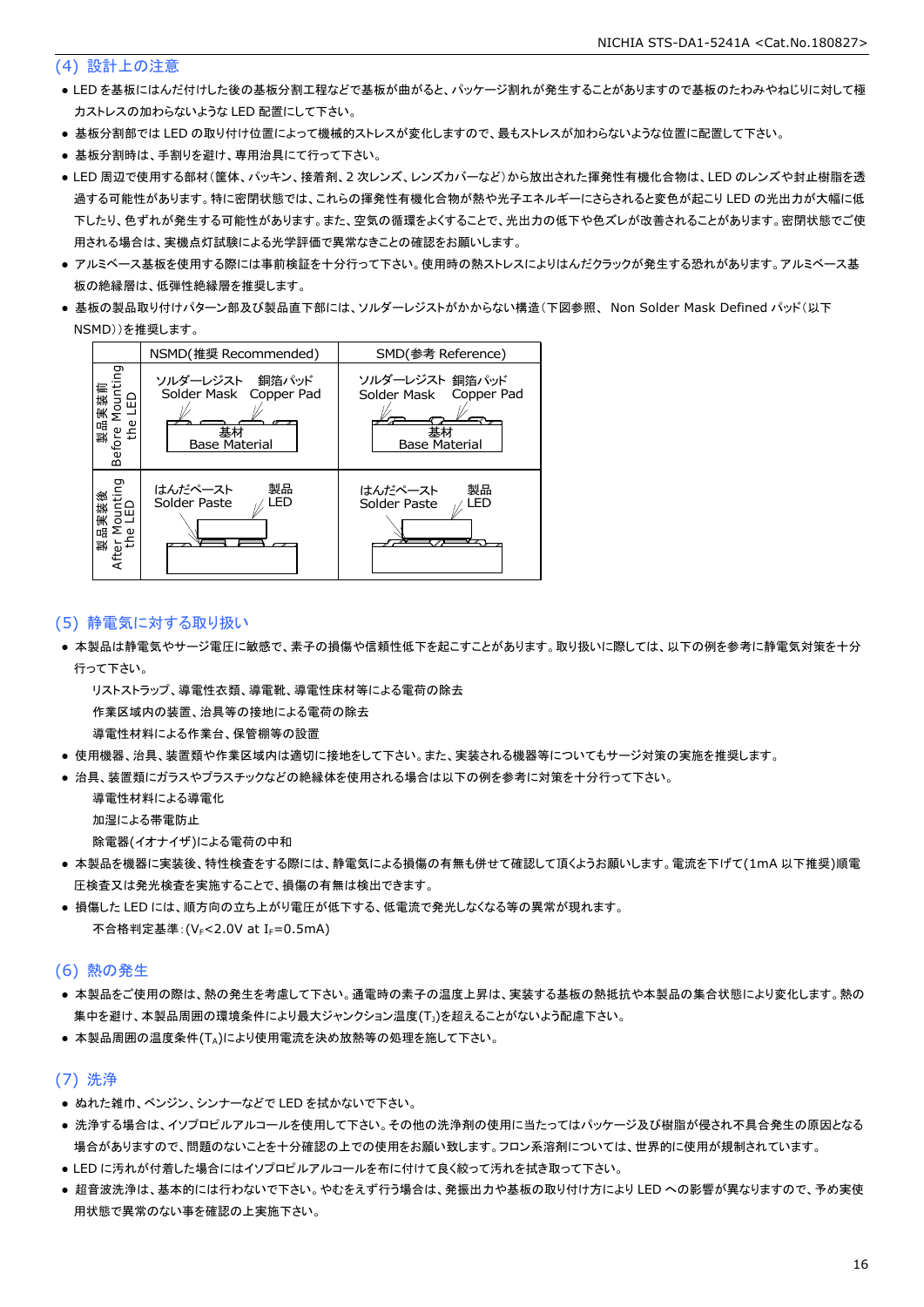#### (4) 設計上の注意

- LED を基板にはんだ付けした後の基板分割工程などで基板が曲がると、パッケージ割れが発生することがありますので基板のたわみやねじりに対して極 力ストレスの加わらないような LED 配置にして下さい。
- 基板分割部では LED の取り付け位置によって機械的ストレスが変化しますので、最もストレスが加わらないような位置に配置して下さい。
- 基板分割時は、手割りを避け、専用治具にて行って下さい。
- LED 周辺で使用する部材(筐体、パッキン、接着剤、2 次レンズ、レンズカバーなど)から放出された揮発性有機化合物は、LED のレンズや封止樹脂を透 過する可能性があります。特に密閉状態では、これらの揮発性有機化合物が熱や光子エネルギーにさらされると変色が起こり LED の光出力が大幅に低 下したり、色ずれが発生する可能性があります。また、空気の循環をよくすることで、光出力の低下や色ズレが改善されることがあります。密閉状態でご使 用される場合は、実機点灯試験による光学評価で異常なきことの確認をお願いします。
- アルミベース基板を使用する際には事前検証を十分行って下さい。使用時の熱ストレスによりはんだクラックが発生する恐れがあります。アルミベース基 板の絶縁層は、低弾性絶縁層を推奨します。
- 基板の製品取り付けパターン部及び製品直下部には、ソルダーレジストがかからない構造(下図参照、 Non Solder Mask Defined パッド(以下 NSMD))を推奨します。



#### (5) 静電気に対する取り扱い

● 本製品は静電気やサージ電圧に敏感で、素子の損傷や信頼性低下を起こすことがあります。取り扱いに際しては、以下の例を参考に静電気対策を十分 行って下さい。

 リストストラップ、導電性衣類、導電靴、導電性床材等による電荷の除去 作業区域内の装置、治具等の接地による電荷の除去

導電性材料による作業台、保管棚等の設置

- 使用機器、治具、装置類や作業区域内は適切に接地をして下さい。また、実装される機器等についてもサージ対策の実施を推奨します。
- 治具、装置類にガラスやプラスチックなどの絶縁体を使用される場合は以下の例を参考に対策を十分行って下さい。

導電性材料による導電化

加湿による帯電防止

除電器(イオナイザ)による電荷の中和

- 本製品を機器に実装後、特性検査をする際には、静電気による損傷の有無も併せて確認して頂くようお願いします。電流を下げて(1mA 以下推奨)順電 圧検査又は発光検査を実施することで、損傷の有無は検出できます。
- 損傷した LED には、順方向の立ち上がり電圧が低下する、低電流で発光しなくなる等の異常が現れます。 不合格判定基準: (VE<2.0V at IE=0.5mA)

#### (6) 熱の発生

- 本製品をご使用の際は、熱の発生を考慮して下さい。通電時の素子の温度上昇は、実装する基板の熱抵抗や本製品の集合状態により変化します。熱の 集中を避け、本製品周囲の環境条件により最大ジャンクション温度(T<sub>1</sub>)を超えることがないよう配慮下さい。
- 本製品周囲の温度条件(TA)により使用電流を決め放熱等の処理を施して下さい。

#### (7) 洗浄

- ぬれた雑巾、ベンジン、シンナーなどで LED を拭かないで下さい。
- 洗浄する場合は、イソプロピルアルコールを使用して下さい。その他の洗浄剤の使用に当たってはパッケージ及び樹脂が侵され不具合発生の原因となる 場合がありますので、問題のないことを十分確認の上での使用をお願い致します。フロン系溶剤については、世界的に使用が規制されています。
- LED に汚れが付着した場合にはイソプロピルアルコールを布に付けて良く絞って汚れを拭き取って下さい。
- 超音波洗浄は、基本的には行わないで下さい。やむをえず行う場合は、発振出力や基板の取り付け方により LED への影響が異なりますので、予め実使 用状態で異常のない事を確認の上実施下さい。